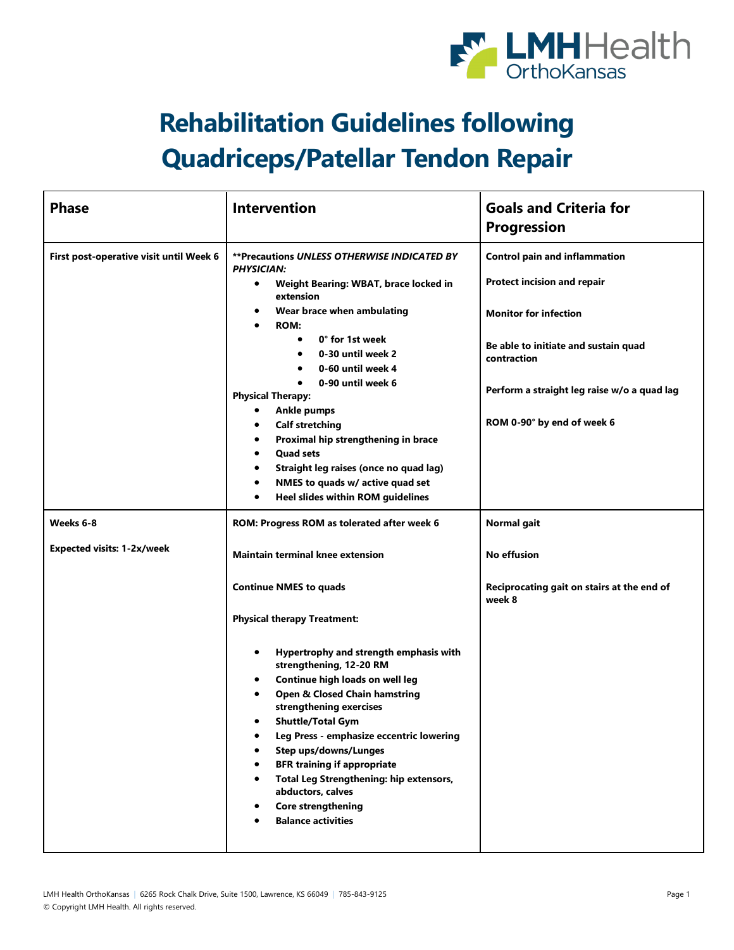

## **Rehabilitation Guidelines following Quadriceps/Patellar Tendon Repair**

| <b>Phase</b>                            | <b>Intervention</b>                                                                                                                                                                                                                                                                                                                                                                                                                                                   | <b>Goals and Criteria for</b><br><b>Progression</b>                                                                                                        |
|-----------------------------------------|-----------------------------------------------------------------------------------------------------------------------------------------------------------------------------------------------------------------------------------------------------------------------------------------------------------------------------------------------------------------------------------------------------------------------------------------------------------------------|------------------------------------------------------------------------------------------------------------------------------------------------------------|
| First post-operative visit until Week 6 | **Precautions UNLESS OTHERWISE INDICATED BY<br><b>PHYSICIAN:</b><br>Weight Bearing: WBAT, brace locked in<br>$\bullet$<br>extension<br>Wear brace when ambulating<br><b>ROM:</b><br>$\bullet$<br>0° for 1st week<br>$\bullet$<br>0-30 until week 2<br>$\bullet$                                                                                                                                                                                                       | <b>Control pain and inflammation</b><br>Protect incision and repair<br><b>Monitor for infection</b><br>Be able to initiate and sustain quad<br>contraction |
|                                         | 0-60 until week 4<br>$\bullet$<br>0-90 until week 6<br>$\bullet$<br><b>Physical Therapy:</b><br><b>Ankle pumps</b><br>٠<br><b>Calf stretching</b><br>٠<br>Proximal hip strengthening in brace<br>٠<br><b>Quad sets</b><br>Straight leg raises (once no quad lag)<br>NMES to quads w/ active quad set<br>Heel slides within ROM guidelines                                                                                                                             | Perform a straight leg raise w/o a quad lag<br>ROM 0-90° by end of week 6                                                                                  |
| Weeks 6-8                               | ROM: Progress ROM as tolerated after week 6                                                                                                                                                                                                                                                                                                                                                                                                                           | Normal gait                                                                                                                                                |
| <b>Expected visits: 1-2x/week</b>       | <b>Maintain terminal knee extension</b><br><b>Continue NMES to quads</b><br><b>Physical therapy Treatment:</b>                                                                                                                                                                                                                                                                                                                                                        | <b>No effusion</b><br>Reciprocating gait on stairs at the end of<br>week 8                                                                                 |
|                                         | Hypertrophy and strength emphasis with<br>٠<br>strengthening, 12-20 RM<br>Continue high loads on well leg<br><b>Open &amp; Closed Chain hamstring</b><br>strengthening exercises<br><b>Shuttle/Total Gym</b><br>$\bullet$<br>Leg Press - emphasize eccentric lowering<br><b>Step ups/downs/Lunges</b><br><b>BFR training if appropriate</b><br>Total Leg Strengthening: hip extensors,<br>abductors, calves<br><b>Core strengthening</b><br><b>Balance activities</b> |                                                                                                                                                            |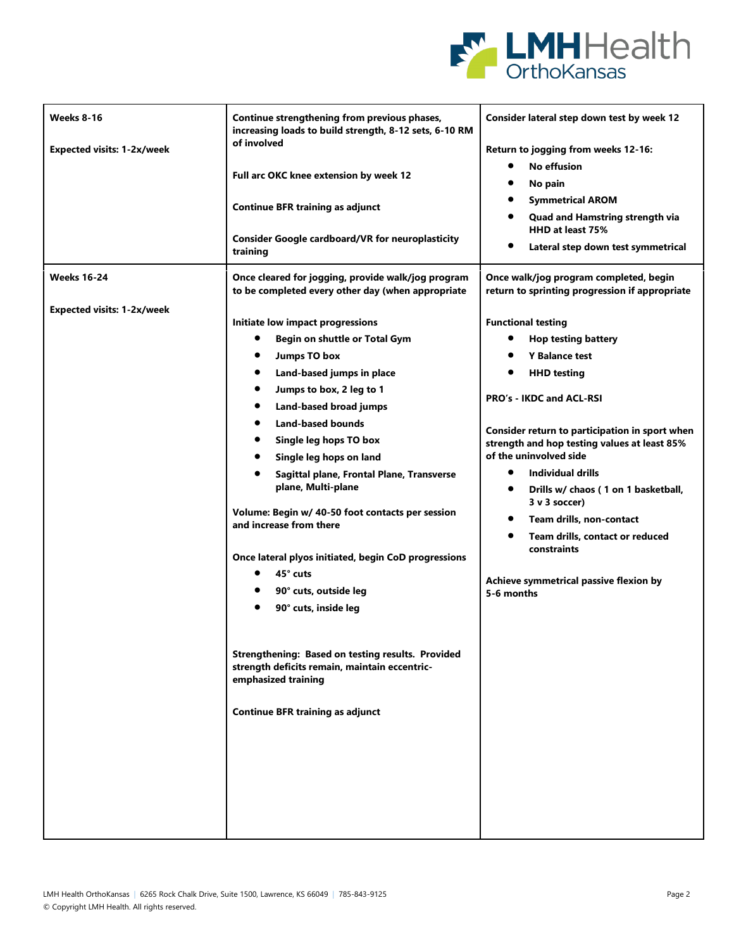

| Weeks 8-16<br><b>Expected visits: 1-2x/week</b> | Continue strengthening from previous phases,<br>increasing loads to build strength, 8-12 sets, 6-10 RM<br>of involved<br>Full arc OKC knee extension by week 12<br><b>Continue BFR training as adjunct</b><br><b>Consider Google cardboard/VR for neuroplasticity</b><br>training                                                                                                                                                                                                                                                               | Consider lateral step down test by week 12<br>Return to jogging from weeks 12-16:<br>$\bullet$<br>No effusion<br>No pain<br><b>Symmetrical AROM</b><br>$\bullet$<br><b>Quad and Hamstring strength via</b><br>HHD at least 75%<br>Lateral step down test symmetrical                                                                                                                                                                                                                                        |
|-------------------------------------------------|-------------------------------------------------------------------------------------------------------------------------------------------------------------------------------------------------------------------------------------------------------------------------------------------------------------------------------------------------------------------------------------------------------------------------------------------------------------------------------------------------------------------------------------------------|-------------------------------------------------------------------------------------------------------------------------------------------------------------------------------------------------------------------------------------------------------------------------------------------------------------------------------------------------------------------------------------------------------------------------------------------------------------------------------------------------------------|
| <b>Weeks 16-24</b>                              | Once cleared for jogging, provide walk/jog program<br>to be completed every other day (when appropriate                                                                                                                                                                                                                                                                                                                                                                                                                                         | Once walk/jog program completed, begin<br>return to sprinting progression if appropriate                                                                                                                                                                                                                                                                                                                                                                                                                    |
|                                                 | Initiate low impact progressions<br>Begin on shuttle or Total Gym<br>٠<br><b>Jumps TO box</b><br>$\bullet$<br>Land-based jumps in place<br>$\bullet$<br>Jumps to box, 2 leg to 1<br>٠<br>Land-based broad jumps<br><b>Land-based bounds</b><br>Single leg hops TO box<br>Single leg hops on land<br>Sagittal plane, Frontal Plane, Transverse<br>plane, Multi-plane<br>Volume: Begin w/ 40-50 foot contacts per session<br>and increase from there<br>Once lateral plyos initiated, begin CoD progressions<br>45° cuts<br>90° cuts, outside leg | <b>Functional testing</b><br><b>Hop testing battery</b><br><b>Y Balance test</b><br><b>HHD testing</b><br>PRO's - IKDC and ACL-RSI<br>Consider return to participation in sport when<br>strength and hop testing values at least 85%<br>of the uninvolved side<br>Individual drills<br>Drills w/ chaos (1 on 1 basketball,<br>$\bullet$<br>3 v 3 soccer)<br>Team drills, non-contact<br>$\bullet$<br>Team drills, contact or reduced<br>constraints<br>Achieve symmetrical passive flexion by<br>5-6 months |
|                                                 | 90° cuts, inside leg<br>Strengthening: Based on testing results. Provided<br>strength deficits remain, maintain eccentric-<br>emphasized training<br><b>Continue BFR training as adjunct</b>                                                                                                                                                                                                                                                                                                                                                    |                                                                                                                                                                                                                                                                                                                                                                                                                                                                                                             |